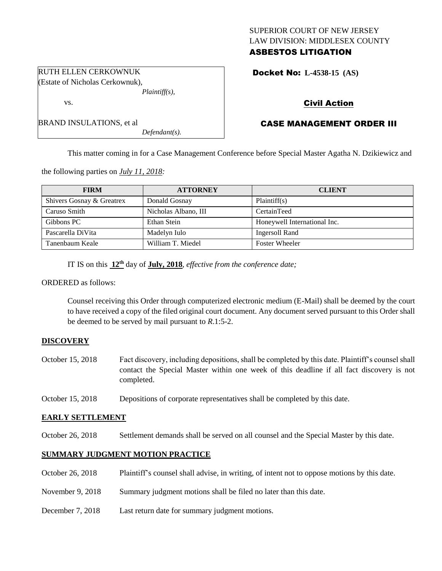# SUPERIOR COURT OF NEW JERSEY LAW DIVISION: MIDDLESEX COUNTY ASBESTOS LITIGATION

Docket No: **L-4538-15 (AS)** 

# Civil Action

# CASE MANAGEMENT ORDER III

This matter coming in for a Case Management Conference before Special Master Agatha N. Dzikiewicz and

the following parties on *July 11, 2018:*

| <b>FIRM</b>               | <b>ATTORNEY</b>      | <b>CLIENT</b>                |
|---------------------------|----------------------|------------------------------|
| Shivers Gosnay & Greatrex | Donald Gosnay        | Plaintiff(s)                 |
| Caruso Smith              | Nicholas Albano, III | CertainTeed                  |
| Gibbons PC                | Ethan Stein          | Honeywell International Inc. |
| Pascarella DiVita         | Madelyn Iulo         | Ingersoll Rand               |
| Tanenbaum Keale           | William T. Miedel    | <b>Foster Wheeler</b>        |

IT IS on this **12th** day of **July, 2018**, *effective from the conference date;*

*Defendant(s).*

ORDERED as follows:

Counsel receiving this Order through computerized electronic medium (E-Mail) shall be deemed by the court to have received a copy of the filed original court document. Any document served pursuant to this Order shall be deemed to be served by mail pursuant to *R*.1:5-2.

## **DISCOVERY**

- October 15, 2018 Fact discovery, including depositions, shall be completed by this date. Plaintiff's counsel shall contact the Special Master within one week of this deadline if all fact discovery is not completed.
- October 15, 2018 Depositions of corporate representatives shall be completed by this date.

## **EARLY SETTLEMENT**

October 26, 2018 Settlement demands shall be served on all counsel and the Special Master by this date.

## **SUMMARY JUDGMENT MOTION PRACTICE**

- October 26, 2018 Plaintiff's counsel shall advise, in writing, of intent not to oppose motions by this date.
- November 9, 2018 Summary judgment motions shall be filed no later than this date.
- December 7, 2018 Last return date for summary judgment motions.

RUTH ELLEN CERKOWNUK (Estate of Nicholas Cerkownuk), *Plaintiff(s),*

vs.

BRAND INSULATIONS, et al